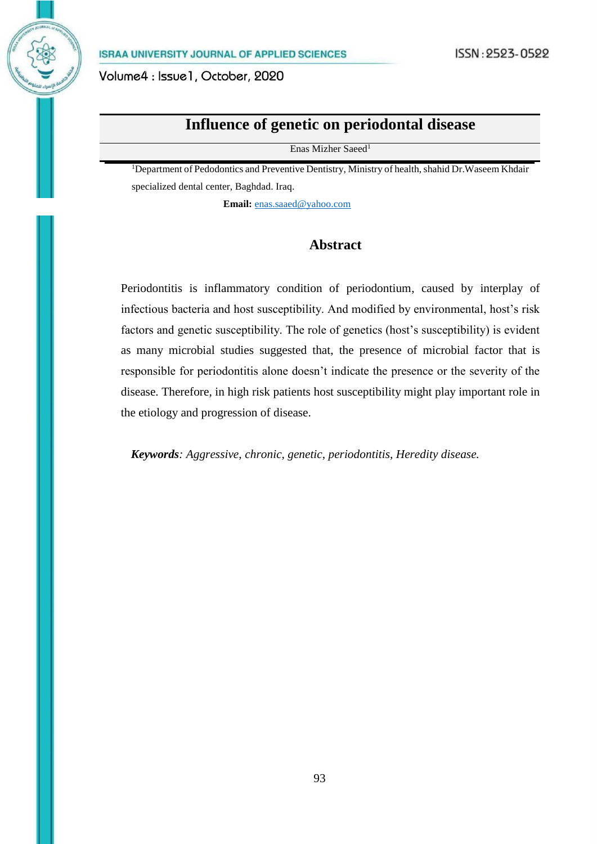Volume4: Issue1, October, 2020

# **Influence of genetic on periodontal disease**

Enas Mizher Saeed<sup>1</sup>

<sup>1</sup>Department of Pedodontics and Preventive Dentistry, Ministry of health, shahid Dr.Waseem Khdair specialized dental center, Baghdad. Iraq.

**Email:** [enas.saaed@yahoo.com](mailto:enas.saaed@yahoo.com)

## **Abstract**

Periodontitis is inflammatory condition of periodontium, caused by interplay of infectious bacteria and host susceptibility. And modified by environmental, host's risk factors and genetic susceptibility. The role of genetics (host's susceptibility) is evident as many microbial studies suggested that, the presence of microbial factor that is responsible for periodontitis alone doesn't indicate the presence or the severity of the disease. Therefore, in high risk patients host susceptibility might play important role in the etiology and progression of disease.

*Keywords: Aggressive, chronic, genetic, periodontitis, Heredity disease.*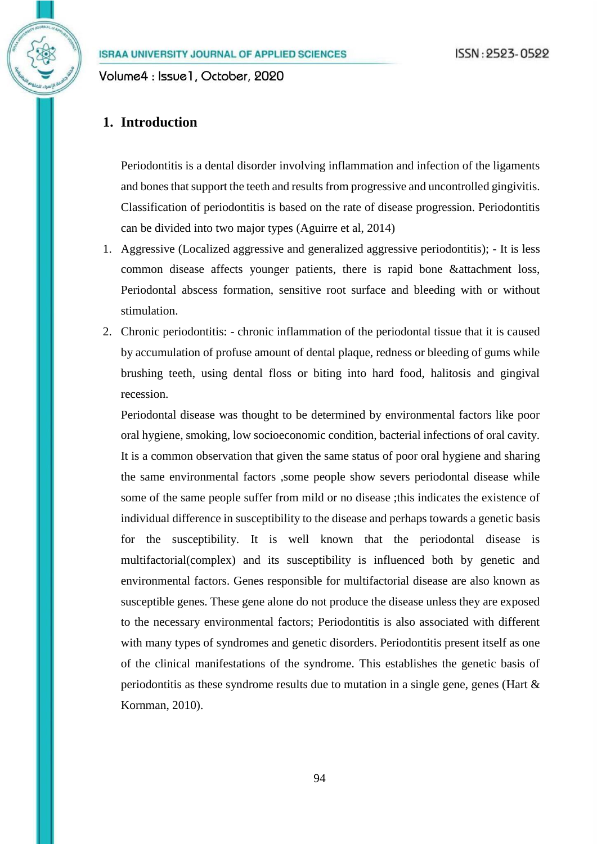Volume4 : Issue1, October, 2020

## **1. Introduction**

Periodontitis is a dental disorder involving inflammation and infection of the ligaments and bones that support the teeth and results from progressive and uncontrolled gingivitis. Classification of periodontitis is based on the rate of disease progression. Periodontitis can be divided into two major types (Aguirre et al, 2014)

- 1. Aggressive (Localized aggressive and generalized aggressive periodontitis); It is less common disease affects younger patients, there is rapid bone &attachment loss, Periodontal abscess formation, sensitive root surface and bleeding with or without stimulation.
- 2. Chronic periodontitis: chronic inflammation of the periodontal tissue that it is caused by accumulation of profuse amount of dental plaque, redness or bleeding of gums while brushing teeth, using dental floss or biting into hard food, halitosis and gingival recession.

Periodontal disease was thought to be determined by environmental factors like poor oral hygiene, smoking, low socioeconomic condition, bacterial infections of oral cavity. It is a common observation that given the same status of poor oral hygiene and sharing the same environmental factors ,some people show severs periodontal disease while some of the same people suffer from mild or no disease ;this indicates the existence of individual difference in susceptibility to the disease and perhaps towards a genetic basis for the susceptibility. It is well known that the periodontal disease is multifactorial(complex) and its susceptibility is influenced both by genetic and environmental factors. Genes responsible for multifactorial disease are also known as susceptible genes. These gene alone do not produce the disease unless they are exposed to the necessary environmental factors; Periodontitis is also associated with different with many types of syndromes and genetic disorders. Periodontitis present itself as one of the clinical manifestations of the syndrome. This establishes the genetic basis of periodontitis as these syndrome results due to mutation in a single gene, genes (Hart  $\&$ Kornman, 2010).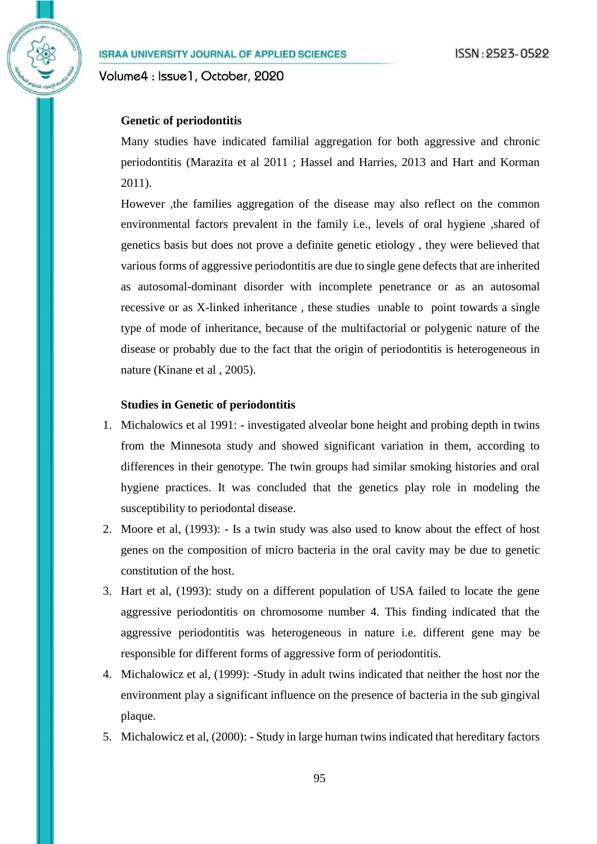Volume4 : Issue1, October, 2020

#### **Genetic of periodontitis**

Many studies have indicated familial aggregation for both aggressive and chronic periodontitis (Marazita et al 2011 ; Hassel and Harries, 2013 and Hart and Korman 2011).

However ,the families aggregation of the disease may also reflect on the common environmental factors prevalent in the family i.e., levels of oral hygiene ,shared of genetics basis but does not prove a definite genetic etiology , they were believed that various forms of aggressive periodontitis are due to single gene defects that are inherited as autosomal-dominant disorder with incomplete penetrance or as an autosomal recessive or as X-linked inheritance , these studies unable to point towards a single type of mode of inheritance, because of the multifactorial or polygenic nature of the disease or probably due to the fact that the origin of periodontitis is heterogeneous in nature (Kinane et al , 2005).

#### **Studies in Genetic of periodontitis**

- 1. Michalowics et al 1991: investigated alveolar bone height and probing depth in twins from the Minnesota study and showed significant variation in them, according to differences in their genotype. The twin groups had similar smoking histories and oral hygiene practices. It was concluded that the genetics play role in modeling the susceptibility to periodontal disease.
- 2. Moore et al, (1993): Is a twin study was also used to know about the effect of host genes on the composition of micro bacteria in the oral cavity may be due to genetic constitution of the host.
- 3. Hart et al, (1993): study on a different population of USA failed to locate the gene aggressive periodontitis on chromosome number 4. This finding indicated that the aggressive periodontitis was heterogeneous in nature i.e. different gene may be responsible for different forms of aggressive form of periodontitis.
- 4. Michalowicz et al, (1999): -Study in adult twins indicated that neither the host nor the environment play a significant influence on the presence of bacteria in the sub gingival plaque.
- 5. Michalowicz et al, (2000): Study in large human twins indicated that hereditary factors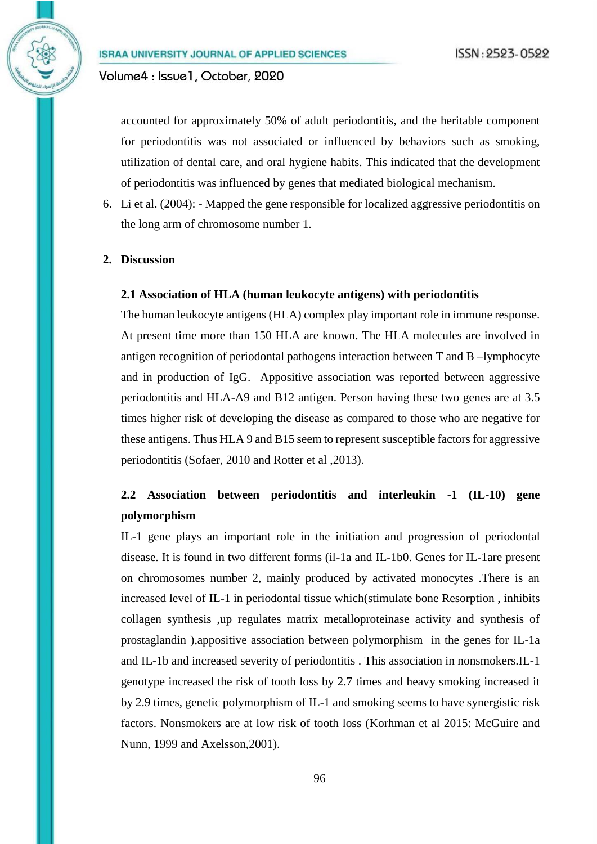## Volume4 : Issue1, October, 2020

accounted for approximately 50% of adult periodontitis, and the heritable component for periodontitis was not associated or influenced by behaviors such as smoking, utilization of dental care, and oral hygiene habits. This indicated that the development of periodontitis was influenced by genes that mediated biological mechanism.

6. Li et al. (2004): - Mapped the gene responsible for localized aggressive periodontitis on the long arm of chromosome number 1.

#### **2. Discussion**

#### **2.1 Association of HLA (human leukocyte antigens) with periodontitis**

The human leukocyte antigens (HLA) complex play important role in immune response. At present time more than 150 HLA are known. The HLA molecules are involved in antigen recognition of periodontal pathogens interaction between T and B –lymphocyte and in production of IgG. Appositive association was reported between aggressive periodontitis and HLA-A9 and B12 antigen. Person having these two genes are at 3.5 times higher risk of developing the disease as compared to those who are negative for these antigens. Thus HLA 9 and B15 seem to represent susceptible factors for aggressive periodontitis (Sofaer, 2010 and Rotter et al ,2013).

## **2.2 Association between periodontitis and interleukin -1 (IL-10) gene polymorphism**

IL-1 gene plays an important role in the initiation and progression of periodontal disease. It is found in two different forms (il-1a and IL-1b0. Genes for IL-1are present on chromosomes number 2, mainly produced by activated monocytes .There is an increased level of IL-1 in periodontal tissue which(stimulate bone Resorption , inhibits collagen synthesis ,up regulates matrix metalloproteinase activity and synthesis of prostaglandin ),appositive association between polymorphism in the genes for IL-1a and IL-1b and increased severity of periodontitis . This association in nonsmokers.IL-1 genotype increased the risk of tooth loss by 2.7 times and heavy smoking increased it by 2.9 times, genetic polymorphism of IL-1 and smoking seems to have synergistic risk factors. Nonsmokers are at low risk of tooth loss (Korhman et al 2015: McGuire and Nunn, 1999 and Axelsson,2001).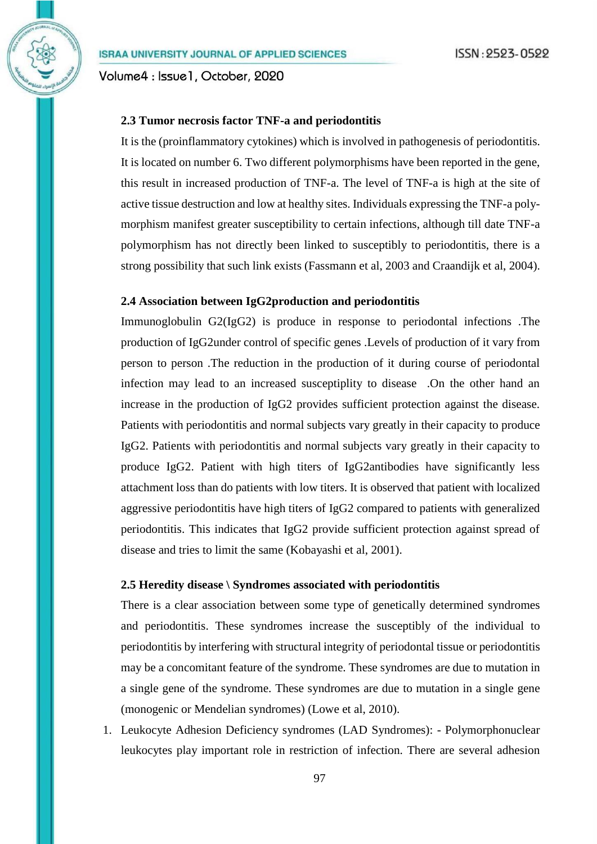Volume4 : Issue1, October, 2020

#### **2.3 Tumor necrosis factor TNF-a and periodontitis**

It is the (proinflammatory cytokines) which is involved in pathogenesis of periodontitis. It is located on number 6. Two different polymorphisms have been reported in the gene, this result in increased production of TNF-a. The level of TNF-a is high at the site of active tissue destruction and low at healthy sites. Individuals expressing the TNF-a polymorphism manifest greater susceptibility to certain infections, although till date TNF-a polymorphism has not directly been linked to susceptibly to periodontitis, there is a strong possibility that such link exists (Fassmann et al, 2003 and Craandijk et al, 2004).

## **2.4 Association between IgG2production and periodontitis**

Immunoglobulin G2(IgG2) is produce in response to periodontal infections .The production of IgG2under control of specific genes .Levels of production of it vary from person to person .The reduction in the production of it during course of periodontal infection may lead to an increased susceptiplity to disease .On the other hand an increase in the production of IgG2 provides sufficient protection against the disease. Patients with periodontitis and normal subjects vary greatly in their capacity to produce IgG2. Patients with periodontitis and normal subjects vary greatly in their capacity to produce IgG2. Patient with high titers of IgG2antibodies have significantly less attachment loss than do patients with low titers. It is observed that patient with localized aggressive periodontitis have high titers of IgG2 compared to patients with generalized periodontitis. This indicates that IgG2 provide sufficient protection against spread of disease and tries to limit the same (Kobayashi et al, 2001).

#### **2.5 Heredity disease \ Syndromes associated with periodontitis**

There is a clear association between some type of genetically determined syndromes and periodontitis. These syndromes increase the susceptibly of the individual to periodontitis by interfering with structural integrity of periodontal tissue or periodontitis may be a concomitant feature of the syndrome. These syndromes are due to mutation in a single gene of the syndrome. These syndromes are due to mutation in a single gene (monogenic or Mendelian syndromes) (Lowe et al, 2010).

1. Leukocyte Adhesion Deficiency syndromes (LAD Syndromes): - Polymorphonuclear leukocytes play important role in restriction of infection. There are several adhesion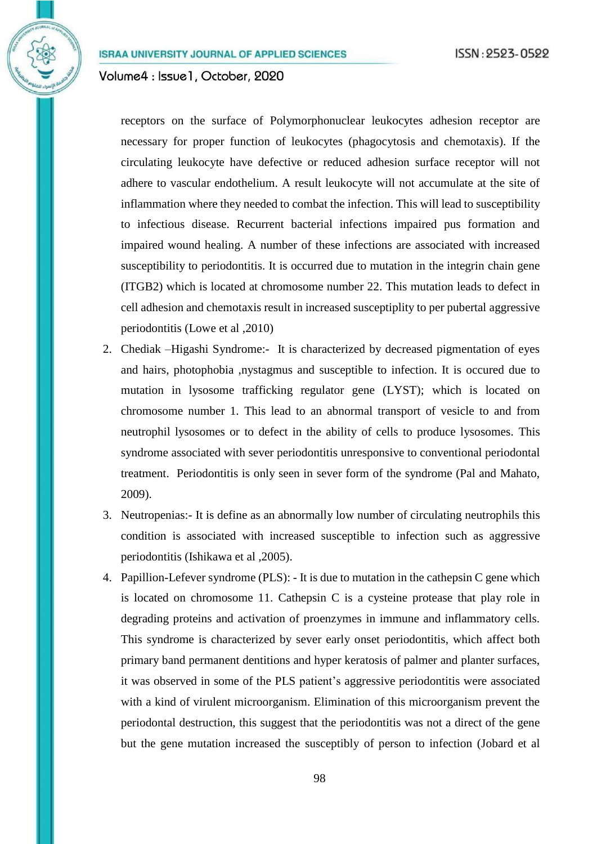Volume4 : Issue1, October, 2020

receptors on the surface of Polymorphonuclear leukocytes adhesion receptor are necessary for proper function of leukocytes (phagocytosis and chemotaxis). If the circulating leukocyte have defective or reduced adhesion surface receptor will not adhere to vascular endothelium. A result leukocyte will not accumulate at the site of inflammation where they needed to combat the infection. This will lead to susceptibility to infectious disease. Recurrent bacterial infections impaired pus formation and impaired wound healing. A number of these infections are associated with increased susceptibility to periodontitis. It is occurred due to mutation in the integrin chain gene (ITGB2) which is located at chromosome number 22. This mutation leads to defect in cell adhesion and chemotaxis result in increased susceptiplity to per pubertal aggressive periodontitis (Lowe et al ,2010)

- 2. Chediak –Higashi Syndrome:- It is characterized by decreased pigmentation of eyes and hairs, photophobia ,nystagmus and susceptible to infection. It is occured due to mutation in lysosome trafficking regulator gene (LYST); which is located on chromosome number 1. This lead to an abnormal transport of vesicle to and from neutrophil lysosomes or to defect in the ability of cells to produce lysosomes. This syndrome associated with sever periodontitis unresponsive to conventional periodontal treatment. Periodontitis is only seen in sever form of the syndrome (Pal and Mahato, 2009).
- 3. Neutropenias:- It is define as an abnormally low number of circulating neutrophils this condition is associated with increased susceptible to infection such as aggressive periodontitis (Ishikawa et al ,2005).
- 4. Papillion-Lefever syndrome (PLS): It is due to mutation in the cathepsin C gene which is located on chromosome 11. Cathepsin C is a cysteine protease that play role in degrading proteins and activation of proenzymes in immune and inflammatory cells. This syndrome is characterized by sever early onset periodontitis, which affect both primary band permanent dentitions and hyper keratosis of palmer and planter surfaces, it was observed in some of the PLS patient's aggressive periodontitis were associated with a kind of virulent microorganism. Elimination of this microorganism prevent the periodontal destruction, this suggest that the periodontitis was not a direct of the gene but the gene mutation increased the susceptibly of person to infection (Jobard et al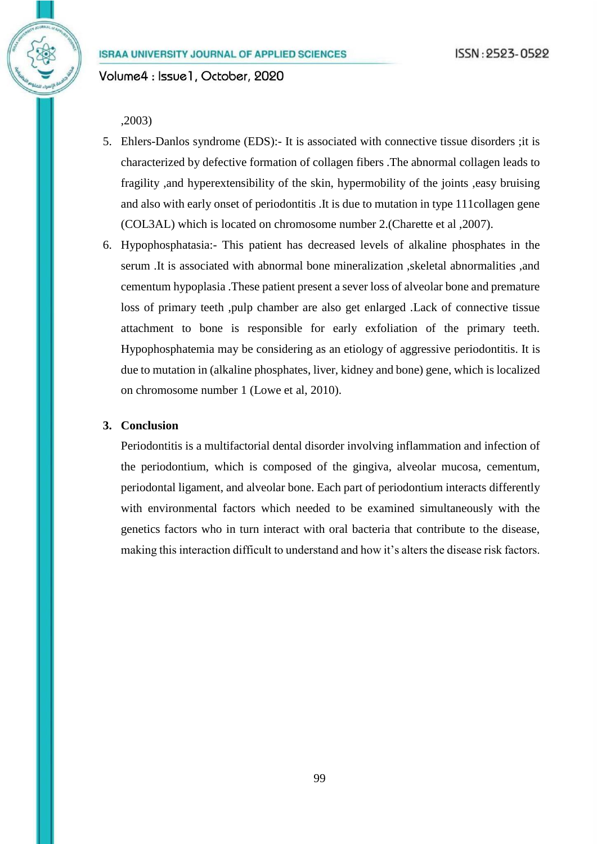Volume4 : Issue1, October, 2020

#### ,2003)

- 5. Ehlers-Danlos syndrome (EDS):- It is associated with connective tissue disorders ;it is characterized by defective formation of collagen fibers .The abnormal collagen leads to fragility ,and hyperextensibility of the skin, hypermobility of the joints ,easy bruising and also with early onset of periodontitis .It is due to mutation in type 111collagen gene (COL3AL) which is located on chromosome number 2.(Charette et al ,2007).
- 6. Hypophosphatasia:- This patient has decreased levels of alkaline phosphates in the serum .It is associated with abnormal bone mineralization ,skeletal abnormalities ,and cementum hypoplasia .These patient present a sever loss of alveolar bone and premature loss of primary teeth ,pulp chamber are also get enlarged .Lack of connective tissue attachment to bone is responsible for early exfoliation of the primary teeth. Hypophosphatemia may be considering as an etiology of aggressive periodontitis. It is due to mutation in (alkaline phosphates, liver, kidney and bone) gene, which is localized on chromosome number 1 (Lowe et al, 2010).

## **3. Conclusion**

Periodontitis is a multifactorial dental disorder involving inflammation and infection of the periodontium, which is composed of the gingiva, alveolar mucosa, cementum, periodontal ligament, and alveolar bone. Each part of periodontium interacts differently with environmental factors which needed to be examined simultaneously with the genetics factors who in turn interact with oral bacteria that contribute to the disease, making this interaction difficult to understand and how it's alters the disease risk factors.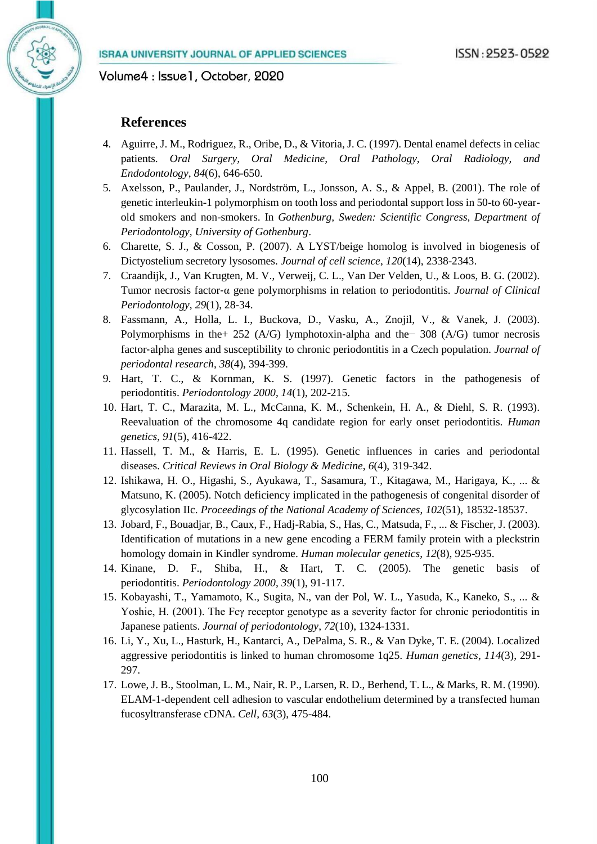Volume4: Issue1, October, 2020

#### **References**

- 4. Aguirre, J. M., Rodriguez, R., Oribe, D., & Vitoria, J. C. (1997). Dental enamel defects in celiac patients. *Oral Surgery, Oral Medicine, Oral Pathology, Oral Radiology, and Endodontology*, *84*(6), 646-650.
- 5. Axelsson, P., Paulander, J., Nordström, L., Jonsson, A. S., & Appel, B. (2001). The role of genetic interleukin-1 polymorphism on tooth loss and periodontal support loss in 50-to 60-yearold smokers and non-smokers. In *Gothenburg, Sweden: Scientific Congress, Department of Periodontology, University of Gothenburg*.
- 6. Charette, S. J., & Cosson, P. (2007). A LYST/beige homolog is involved in biogenesis of Dictyostelium secretory lysosomes. *Journal of cell science*, *120*(14), 2338-2343.
- 7. Craandijk, J., Van Krugten, M. V., Verweij, C. L., Van Der Velden, U., & Loos, B. G. (2002). Tumor necrosis factor‐α gene polymorphisms in relation to periodontitis. *Journal of Clinical Periodontology*, *29*(1), 28-34.
- 8. Fassmann, A., Holla, L. I., Buckova, D., Vasku, A., Znojil, V., & Vanek, J. (2003). Polymorphisms in the+ 252 (A/G) lymphotoxin‐alpha and the− 308 (A/G) tumor necrosis factor‐alpha genes and susceptibility to chronic periodontitis in a Czech population. *Journal of periodontal research*, *38*(4), 394-399.
- 9. Hart, T. C., & Kornman, K. S. (1997). Genetic factors in the pathogenesis of periodontitis. *Periodontology 2000*, *14*(1), 202-215.
- 10. Hart, T. C., Marazita, M. L., McCanna, K. M., Schenkein, H. A., & Diehl, S. R. (1993). Reevaluation of the chromosome 4q candidate region for early onset periodontitis. *Human genetics*, *91*(5), 416-422.
- 11. Hassell, T. M., & Harris, E. L. (1995). Genetic influences in caries and periodontal diseases. *Critical Reviews in Oral Biology & Medicine*, *6*(4), 319-342.
- 12. Ishikawa, H. O., Higashi, S., Ayukawa, T., Sasamura, T., Kitagawa, M., Harigaya, K., ... & Matsuno, K. (2005). Notch deficiency implicated in the pathogenesis of congenital disorder of glycosylation IIc. *Proceedings of the National Academy of Sciences*, *102*(51), 18532-18537.
- 13. Jobard, F., Bouadjar, B., Caux, F., Hadj-Rabia, S., Has, C., Matsuda, F., ... & Fischer, J. (2003). Identification of mutations in a new gene encoding a FERM family protein with a pleckstrin homology domain in Kindler syndrome. *Human molecular genetics*, *12*(8), 925-935.
- 14. Kinane, D. F., Shiba, H., & Hart, T. C. (2005). The genetic basis of periodontitis. *Periodontology 2000*, *39*(1), 91-117.
- 15. Kobayashi, T., Yamamoto, K., Sugita, N., van der Pol, W. L., Yasuda, K., Kaneko, S., ... & Yoshie, H. (2001). The Fcγ receptor genotype as a severity factor for chronic periodontitis in Japanese patients. *Journal of periodontology*, *72*(10), 1324-1331.
- 16. Li, Y., Xu, L., Hasturk, H., Kantarci, A., DePalma, S. R., & Van Dyke, T. E. (2004). Localized aggressive periodontitis is linked to human chromosome 1q25. *Human genetics*, *114*(3), 291- 297.
- 17. Lowe, J. B., Stoolman, L. M., Nair, R. P., Larsen, R. D., Berhend, T. L., & Marks, R. M. (1990). ELAM-1-dependent cell adhesion to vascular endothelium determined by a transfected human fucosyltransferase cDNA. *Cell*, *63*(3), 475-484.